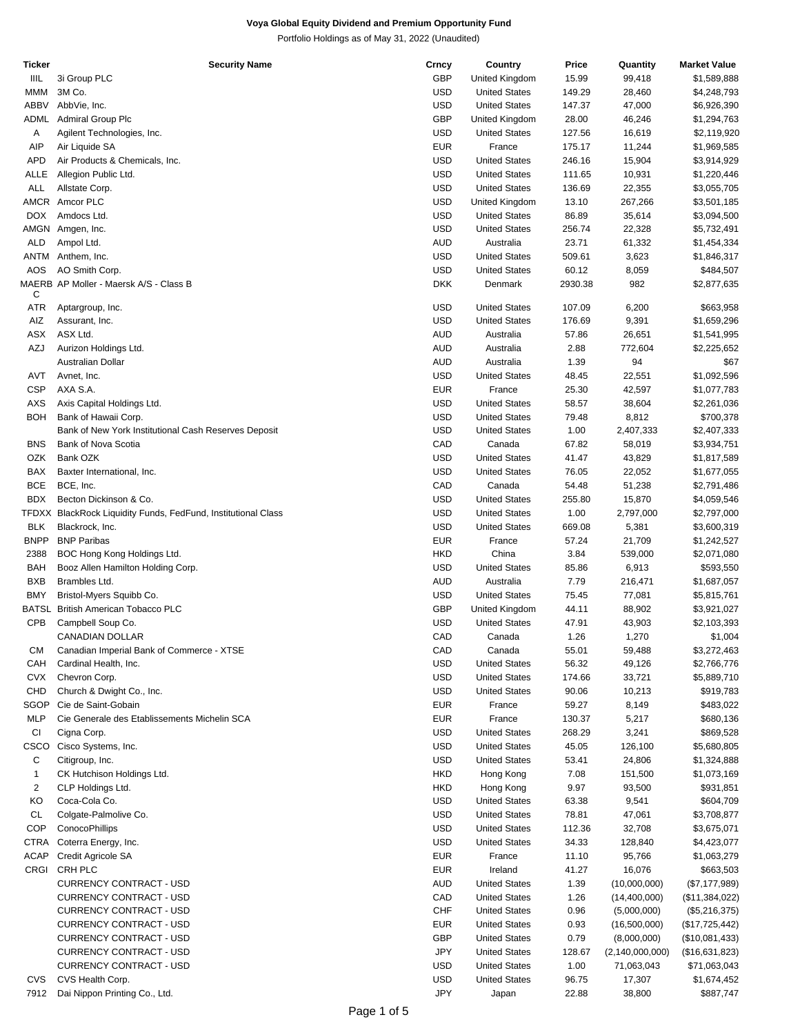| Ticker         | <b>Security Name</b>                                          | Crncy      | Country              | Price   | Quantity           | <b>Market Value</b> |
|----------------|---------------------------------------------------------------|------------|----------------------|---------|--------------------|---------------------|
| IIIL           | 3i Group PLC                                                  | GBP        | United Kingdom       | 15.99   | 99,418             | \$1,589,888         |
| <b>MMM</b>     | 3M Co.                                                        | <b>USD</b> | <b>United States</b> | 149.29  | 28,460             | \$4,248,793         |
|                |                                                               |            |                      |         |                    |                     |
| <b>ABBV</b>    | AbbVie, Inc.                                                  | <b>USD</b> | <b>United States</b> | 147.37  | 47,000             | \$6,926,390         |
| ADML           | <b>Admiral Group Plc</b>                                      | GBP        | United Kingdom       | 28.00   | 46,246             | \$1,294,763         |
| Α              | Agilent Technologies, Inc.                                    | <b>USD</b> | <b>United States</b> | 127.56  | 16,619             | \$2,119,920         |
| AIP            | Air Liquide SA                                                | <b>EUR</b> | France               | 175.17  | 11,244             | \$1,969,585         |
| <b>APD</b>     |                                                               | <b>USD</b> | <b>United States</b> | 246.16  |                    |                     |
|                | Air Products & Chemicals, Inc.                                |            |                      |         | 15,904             | \$3,914,929         |
| ALLE           | Allegion Public Ltd.                                          | <b>USD</b> | <b>United States</b> | 111.65  | 10,931             | \$1,220,446         |
| ALL            | Allstate Corp.                                                | <b>USD</b> | <b>United States</b> | 136.69  | 22,355             | \$3,055,705         |
|                | AMCR Amcor PLC                                                | <b>USD</b> | United Kingdom       | 13.10   | 267,266            | \$3,501,185         |
| <b>DOX</b>     | Amdocs Ltd.                                                   | <b>USD</b> | <b>United States</b> | 86.89   | 35,614             | \$3,094,500         |
|                |                                                               |            |                      |         |                    |                     |
|                | AMGN Amgen, Inc.                                              | <b>USD</b> | <b>United States</b> | 256.74  | 22,328             | \$5,732,491         |
| ALD            | Ampol Ltd.                                                    | <b>AUD</b> | Australia            | 23.71   | 61,332             | \$1,454,334         |
|                | ANTM Anthem, Inc.                                             | <b>USD</b> | <b>United States</b> | 509.61  | 3,623              | \$1,846,317         |
| <b>AOS</b>     | AO Smith Corp.                                                | <b>USD</b> | <b>United States</b> | 60.12   | 8,059              | \$484,507           |
|                |                                                               |            |                      |         |                    |                     |
|                | MAERB AP Moller - Maersk A/S - Class B                        | <b>DKK</b> | Denmark              | 2930.38 | 982                | \$2,877,635         |
| C              |                                                               |            |                      |         |                    |                     |
| <b>ATR</b>     | Aptargroup, Inc.                                              | <b>USD</b> | <b>United States</b> | 107.09  | 6,200              | \$663,958           |
| AIZ            | Assurant, Inc.                                                | <b>USD</b> | <b>United States</b> | 176.69  | 9,391              | \$1,659,296         |
| ASX            | ASX Ltd.                                                      | <b>AUD</b> | Australia            | 57.86   | 26,651             | \$1,541,995         |
| AZJ            |                                                               | <b>AUD</b> | Australia            | 2.88    |                    |                     |
|                | Aurizon Holdings Ltd.                                         |            |                      |         | 772,604            | \$2,225,652         |
|                | Australian Dollar                                             | <b>AUD</b> | Australia            | 1.39    | 94                 | \$67                |
| AVT            | Avnet, Inc.                                                   | <b>USD</b> | <b>United States</b> | 48.45   | 22,551             | \$1,092,596         |
| <b>CSP</b>     | AXA S.A.                                                      | <b>EUR</b> | France               | 25.30   | 42,597             | \$1,077,783         |
| <b>AXS</b>     | Axis Capital Holdings Ltd.                                    | <b>USD</b> | <b>United States</b> | 58.57   | 38,604             | \$2,261,036         |
|                |                                                               |            |                      |         |                    |                     |
| <b>BOH</b>     | Bank of Hawaii Corp.                                          | <b>USD</b> | <b>United States</b> | 79.48   | 8,812              | \$700,378           |
|                | Bank of New York Institutional Cash Reserves Deposit          | <b>USD</b> | <b>United States</b> | 1.00    | 2,407,333          | \$2,407,333         |
| <b>BNS</b>     | Bank of Nova Scotia                                           | CAD        | Canada               | 67.82   | 58,019             | \$3,934,751         |
| OZK            | Bank OZK                                                      | <b>USD</b> | <b>United States</b> | 41.47   | 43,829             | \$1,817,589         |
|                |                                                               |            |                      |         |                    |                     |
| BAX            | Baxter International, Inc.                                    | <b>USD</b> | <b>United States</b> | 76.05   | 22,052             | \$1,677,055         |
| <b>BCE</b>     | BCE, Inc.                                                     | CAD        | Canada               | 54.48   | 51,238             | \$2,791,486         |
| <b>BDX</b>     | Becton Dickinson & Co.                                        | <b>USD</b> | <b>United States</b> | 255.80  | 15,870             | \$4,059,546         |
|                | TFDXX BlackRock Liquidity Funds, FedFund, Institutional Class | <b>USD</b> | <b>United States</b> | 1.00    | 2,797,000          | \$2,797,000         |
|                |                                                               |            |                      |         |                    |                     |
| <b>BLK</b>     | Blackrock, Inc.                                               | <b>USD</b> | <b>United States</b> | 669.08  | 5,381              | \$3,600,319         |
| <b>BNPP</b>    | <b>BNP Paribas</b>                                            | <b>EUR</b> | France               | 57.24   | 21,709             | \$1,242,527         |
| 2388           | BOC Hong Kong Holdings Ltd.                                   | <b>HKD</b> | China                | 3.84    | 539,000            | \$2,071,080         |
| <b>BAH</b>     | Booz Allen Hamilton Holding Corp.                             | <b>USD</b> | <b>United States</b> | 85.86   | 6,913              | \$593,550           |
| <b>BXB</b>     | Brambles Ltd.                                                 | <b>AUD</b> |                      |         |                    |                     |
|                |                                                               |            | Australia            | 7.79    | 216,471            | \$1,687,057         |
| <b>BMY</b>     | Bristol-Myers Squibb Co.                                      | <b>USD</b> | <b>United States</b> | 75.45   | 77,081             | \$5,815,761         |
| BATSL          | British American Tobacco PLC                                  | <b>GBP</b> | United Kingdom       | 44.11   | 88,902             | \$3,921,027         |
| CPB            | Campbell Soup Co.                                             | <b>USD</b> | <b>United States</b> | 47.91   | 43,903             | \$2,103,393         |
|                |                                                               | CAD        |                      |         |                    |                     |
|                | CANADIAN DOLLAR                                               |            | Canada               | 1.26    | 1,270              | \$1,004             |
| <b>CM</b>      | Canadian Imperial Bank of Commerce - XTSE                     | CAD        | Canada               | 55.01   | 59,488             | \$3,272,463         |
| CAH            | Cardinal Health, Inc.                                         | <b>USD</b> | <b>United States</b> | 56.32   | 49,126             | \$2,766,776         |
| <b>CVX</b>     | Chevron Corp.                                                 | <b>USD</b> | <b>United States</b> | 174.66  | 33,721             | \$5,889,710         |
| CHD            | Church & Dwight Co., Inc.                                     | <b>USD</b> | <b>United States</b> | 90.06   |                    | \$919,783           |
|                |                                                               |            |                      |         | 10,213             |                     |
| SGOP           | Cie de Saint-Gobain                                           | <b>EUR</b> | France               | 59.27   | 8,149              | \$483,022           |
| <b>MLP</b>     | Cie Generale des Etablissements Michelin SCA                  | <b>EUR</b> | France               | 130.37  | 5,217              | \$680,136           |
| <b>CI</b>      | Cigna Corp.                                                   | <b>USD</b> | <b>United States</b> | 268.29  | 3,241              | \$869,528           |
| CSCO           | Cisco Systems, Inc.                                           | <b>USD</b> | <b>United States</b> | 45.05   | 126,100            | \$5,680,805         |
|                |                                                               |            |                      |         |                    |                     |
| С              | Citigroup, Inc.                                               | <b>USD</b> | <b>United States</b> | 53.41   | 24,806             | \$1,324,888         |
| $\mathbf{1}$   | CK Hutchison Holdings Ltd.                                    | <b>HKD</b> | Hong Kong            | 7.08    | 151,500            | \$1,073,169         |
| $\overline{c}$ | CLP Holdings Ltd.                                             | HKD        | Hong Kong            | 9.97    | 93,500             | \$931,851           |
| KO             | Coca-Cola Co.                                                 | <b>USD</b> | <b>United States</b> | 63.38   | 9,541              | \$604,709           |
|                |                                                               |            |                      |         |                    |                     |
| CL             | Colgate-Palmolive Co.                                         | <b>USD</b> | <b>United States</b> | 78.81   | 47,061             | \$3,708,877         |
| <b>COP</b>     | ConocoPhillips                                                | <b>USD</b> | <b>United States</b> | 112.36  | 32,708             | \$3,675,071         |
| <b>CTRA</b>    | Coterra Energy, Inc.                                          | <b>USD</b> | <b>United States</b> | 34.33   | 128,840            | \$4,423,077         |
| ACAP           | Credit Agricole SA                                            | <b>EUR</b> | France               | 11.10   | 95,766             | \$1,063,279         |
|                |                                                               |            |                      |         |                    |                     |
|                | CRGI CRH PLC                                                  | <b>EUR</b> | Ireland              | 41.27   | 16,076             | \$663,503           |
|                | CURRENCY CONTRACT - USD                                       | <b>AUD</b> | <b>United States</b> | 1.39    | (10,000,000)       | (\$7,177,989)       |
|                | CURRENCY CONTRACT - USD                                       | CAD        | <b>United States</b> | 1.26    | (14, 400, 000)     | (\$11,384,022)      |
|                | CURRENCY CONTRACT - USD                                       | <b>CHF</b> | <b>United States</b> | 0.96    | (5,000,000)        | (\$5,216,375)       |
|                |                                                               |            |                      |         |                    |                     |
|                | CURRENCY CONTRACT - USD                                       | <b>EUR</b> | <b>United States</b> | 0.93    | (16,500,000)       | (\$17,725,442)      |
|                | CURRENCY CONTRACT - USD                                       | GBP        | <b>United States</b> | 0.79    | (8,000,000)        | (\$10,081,433)      |
|                | CURRENCY CONTRACT - USD                                       | <b>JPY</b> | <b>United States</b> | 128.67  | (2, 140, 000, 000) | (\$16,631,823)      |
|                | CURRENCY CONTRACT - USD                                       | <b>USD</b> | <b>United States</b> | 1.00    | 71,063,043         | \$71,063,043        |
|                |                                                               |            |                      |         |                    |                     |
| <b>CVS</b>     | CVS Health Corp.                                              | <b>USD</b> | <b>United States</b> | 96.75   | 17,307             | \$1,674,452         |
| 7912           | Dai Nippon Printing Co., Ltd.                                 | <b>JPY</b> | Japan                | 22.88   | 38,800             | \$887,747           |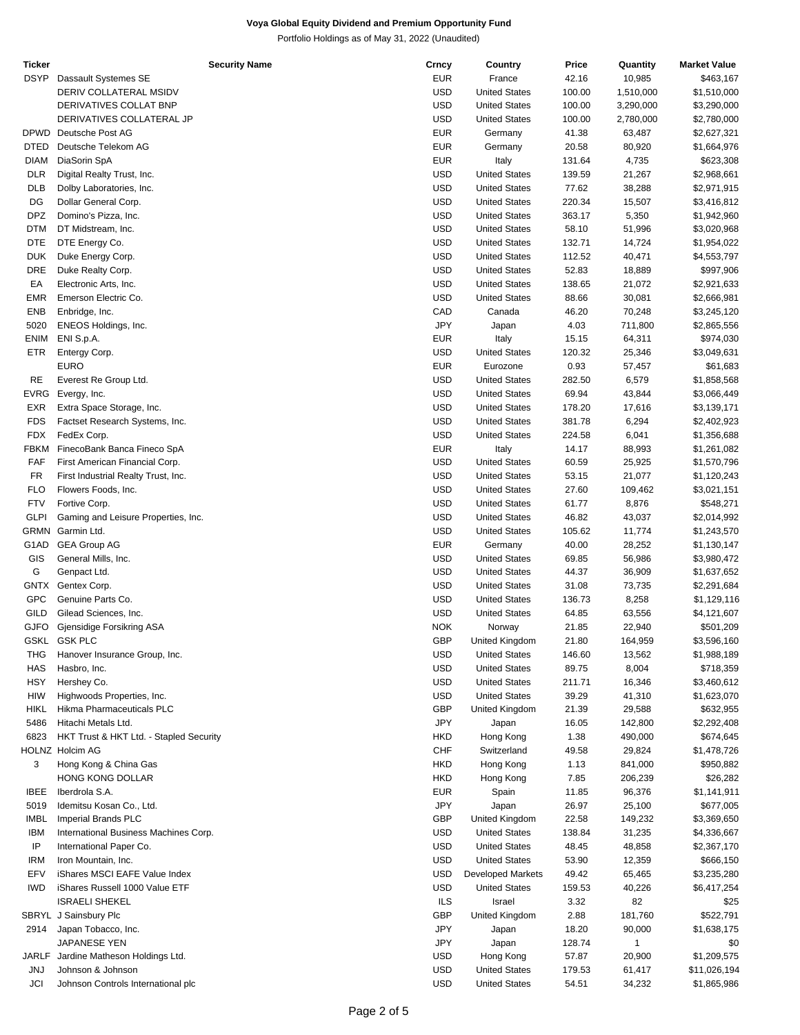| Ticker      | <b>Security Name</b>                    | Crncy      | Country                  | Price  | Quantity  | <b>Market Value</b> |
|-------------|-----------------------------------------|------------|--------------------------|--------|-----------|---------------------|
| <b>DSYP</b> | Dassault Systemes SE                    | EUR        | France                   | 42.16  | 10,985    | \$463,167           |
|             | DERIV COLLATERAL MSIDV                  | <b>USD</b> | <b>United States</b>     | 100.00 | 1,510,000 | \$1,510,000         |
|             | DERIVATIVES COLLAT BNP                  | <b>USD</b> | <b>United States</b>     | 100.00 | 3,290,000 | \$3,290,000         |
|             | DERIVATIVES COLLATERAL JP               | <b>USD</b> | <b>United States</b>     | 100.00 | 2,780,000 | \$2,780,000         |
| <b>DPWD</b> | Deutsche Post AG                        | <b>EUR</b> | Germany                  |        |           |                     |
|             |                                         |            |                          | 41.38  | 63,487    | \$2,627,321         |
| <b>DTED</b> | Deutsche Telekom AG                     | <b>EUR</b> | Germany                  | 20.58  | 80,920    | \$1,664,976         |
| <b>DIAM</b> | DiaSorin SpA                            | <b>EUR</b> | Italy                    | 131.64 | 4,735     | \$623,308           |
| <b>DLR</b>  | Digital Realty Trust, Inc.              | <b>USD</b> | <b>United States</b>     | 139.59 | 21,267    | \$2,968,661         |
| <b>DLB</b>  | Dolby Laboratories, Inc.                | <b>USD</b> | <b>United States</b>     | 77.62  | 38,288    | \$2,971,915         |
| DG          | Dollar General Corp.                    | <b>USD</b> | <b>United States</b>     | 220.34 | 15,507    | \$3,416,812         |
| <b>DPZ</b>  | Domino's Pizza, Inc.                    | <b>USD</b> | <b>United States</b>     | 363.17 | 5,350     | \$1,942,960         |
|             |                                         |            |                          |        |           |                     |
| DTM         | DT Midstream, Inc.                      | <b>USD</b> | <b>United States</b>     | 58.10  | 51,996    | \$3,020,968         |
| <b>DTE</b>  | DTE Energy Co.                          | <b>USD</b> | <b>United States</b>     | 132.71 | 14,724    | \$1,954,022         |
| <b>DUK</b>  | Duke Energy Corp.                       | <b>USD</b> | <b>United States</b>     | 112.52 | 40,471    | \$4,553,797         |
| DRE         | Duke Realty Corp.                       | <b>USD</b> | <b>United States</b>     | 52.83  | 18,889    | \$997,906           |
| EA          | Electronic Arts, Inc.                   | <b>USD</b> | <b>United States</b>     | 138.65 | 21,072    | \$2,921,633         |
| <b>EMR</b>  | Emerson Electric Co.                    | <b>USD</b> | <b>United States</b>     | 88.66  | 30,081    | \$2,666,981         |
| <b>ENB</b>  |                                         | CAD        |                          |        |           |                     |
|             | Enbridge, Inc.                          |            | Canada                   | 46.20  | 70,248    | \$3,245,120         |
| 5020        | ENEOS Holdings, Inc.                    | JPY        | Japan                    | 4.03   | 711,800   | \$2,865,556         |
| <b>ENIM</b> | ENI S.p.A.                              | <b>EUR</b> | Italy                    | 15.15  | 64,311    | \$974,030           |
| ETR         | Entergy Corp.                           | <b>USD</b> | <b>United States</b>     | 120.32 | 25,346    | \$3,049,631         |
|             | <b>EURO</b>                             | <b>EUR</b> | Eurozone                 | 0.93   | 57,457    | \$61,683            |
| RE          | Everest Re Group Ltd.                   | <b>USD</b> | <b>United States</b>     | 282.50 | 6,579     | \$1,858,568         |
| <b>EVRG</b> | Evergy, Inc.                            | <b>USD</b> | <b>United States</b>     | 69.94  | 43,844    | \$3,066,449         |
|             |                                         |            |                          |        |           |                     |
| EXR         | Extra Space Storage, Inc.               | <b>USD</b> | <b>United States</b>     | 178.20 | 17,616    | \$3,139,171         |
| <b>FDS</b>  | Factset Research Systems, Inc.          | <b>USD</b> | <b>United States</b>     | 381.78 | 6,294     | \$2,402,923         |
| <b>FDX</b>  | FedEx Corp.                             | <b>USD</b> | <b>United States</b>     | 224.58 | 6,041     | \$1,356,688         |
| <b>FBKM</b> | FinecoBank Banca Fineco SpA             | <b>EUR</b> | Italy                    | 14.17  | 88,993    | \$1,261,082         |
| FAF         | First American Financial Corp.          | <b>USD</b> | <b>United States</b>     | 60.59  | 25,925    | \$1,570,796         |
| FR          | First Industrial Realty Trust, Inc.     | <b>USD</b> | <b>United States</b>     | 53.15  | 21,077    | \$1,120,243         |
|             |                                         |            |                          |        |           |                     |
| <b>FLO</b>  | Flowers Foods, Inc.                     | <b>USD</b> | <b>United States</b>     | 27.60  | 109,462   | \$3,021,151         |
| <b>FTV</b>  | Fortive Corp.                           | <b>USD</b> | <b>United States</b>     | 61.77  | 8,876     | \$548,271           |
| <b>GLPI</b> | Gaming and Leisure Properties, Inc.     | <b>USD</b> | <b>United States</b>     | 46.82  | 43,037    | \$2,014,992         |
| GRMN        | Garmin Ltd.                             | <b>USD</b> | <b>United States</b>     | 105.62 | 11,774    | \$1,243,570         |
| G1AD        | <b>GEA Group AG</b>                     | <b>EUR</b> | Germany                  | 40.00  | 28,252    | \$1,130,147         |
| GIS         | General Mills, Inc.                     | <b>USD</b> | <b>United States</b>     | 69.85  | 56,986    | \$3,980,472         |
| G           | Genpact Ltd.                            | <b>USD</b> | <b>United States</b>     | 44.37  |           | \$1,637,652         |
|             |                                         |            |                          |        | 36,909    |                     |
|             | GNTX Gentex Corp.                       | <b>USD</b> | <b>United States</b>     | 31.08  | 73,735    | \$2,291,684         |
| <b>GPC</b>  | Genuine Parts Co.                       | <b>USD</b> | <b>United States</b>     | 136.73 | 8,258     | \$1,129,116         |
| GILD        | Gilead Sciences, Inc.                   | <b>USD</b> | <b>United States</b>     | 64.85  | 63,556    | \$4,121,607         |
| <b>GJFO</b> | Gjensidige Forsikring ASA               | <b>NOK</b> | Norway                   | 21.85  | 22,940    | \$501,209           |
|             | GSKL GSK PLC                            | <b>GBP</b> | United Kingdom           | 21.80  | 164,959   | \$3,596,160         |
| THG         | Hanover Insurance Group, Inc.           | <b>USD</b> | <b>United States</b>     | 146.60 | 13,562    | \$1,988,189         |
|             |                                         |            |                          |        |           |                     |
| HAS         | Hasbro, Inc.                            | <b>USD</b> | <b>United States</b>     | 89.75  | 8,004     | \$718,359           |
| HSY         | Hershey Co.                             | <b>USD</b> | <b>United States</b>     | 211.71 | 16,346    | \$3,460,612         |
| HIW         | Highwoods Properties, Inc.              | <b>USD</b> | <b>United States</b>     | 39.29  | 41,310    | \$1,623,070         |
| <b>HIKL</b> | Hikma Pharmaceuticals PLC               | <b>GBP</b> | United Kingdom           | 21.39  | 29,588    | \$632,955           |
| 5486        | Hitachi Metals Ltd.                     | JPY        | Japan                    | 16.05  | 142,800   | \$2,292,408         |
| 6823        | HKT Trust & HKT Ltd. - Stapled Security | HKD        | Hong Kong                | 1.38   | 490,000   | \$674,645           |
|             |                                         |            |                          |        |           |                     |
|             | HOLNZ Holcim AG                         | <b>CHF</b> | Switzerland              | 49.58  | 29,824    | \$1,478,726         |
| 3           | Hong Kong & China Gas                   | HKD        | Hong Kong                | 1.13   | 841,000   | \$950,882           |
|             | HONG KONG DOLLAR                        | <b>HKD</b> | Hong Kong                | 7.85   | 206,239   | \$26,282            |
| <b>IBEE</b> | Iberdrola S.A.                          | <b>EUR</b> | Spain                    | 11.85  | 96,376    | \$1,141,911         |
| 5019        | Idemitsu Kosan Co., Ltd.                | JPY        | Japan                    | 26.97  | 25,100    | \$677,005           |
| <b>IMBL</b> | Imperial Brands PLC                     | <b>GBP</b> | United Kingdom           | 22.58  | 149,232   | \$3,369,650         |
|             |                                         | USD        |                          |        |           |                     |
| <b>IBM</b>  | International Business Machines Corp.   |            | <b>United States</b>     | 138.84 | 31,235    | \$4,336,667         |
| IP          | International Paper Co.                 | <b>USD</b> | <b>United States</b>     | 48.45  | 48,858    | \$2,367,170         |
| <b>IRM</b>  | Iron Mountain, Inc.                     | <b>USD</b> | <b>United States</b>     | 53.90  | 12,359    | \$666,150           |
| EFV         | iShares MSCI EAFE Value Index           | <b>USD</b> | <b>Developed Markets</b> | 49.42  | 65,465    | \$3,235,280         |
| <b>IWD</b>  | iShares Russell 1000 Value ETF          | <b>USD</b> | <b>United States</b>     | 159.53 | 40,226    | \$6,417,254         |
|             | <b>ISRAELI SHEKEL</b>                   | <b>ILS</b> | Israel                   | 3.32   | 82        | \$25                |
|             |                                         |            |                          |        |           |                     |
|             | SBRYL J Sainsbury Plc                   | <b>GBP</b> | United Kingdom           | 2.88   | 181,760   | \$522,791           |
| 2914        | Japan Tobacco, Inc.                     | JPY        | Japan                    | 18.20  | 90,000    | \$1,638,175         |
|             | JAPANESE YEN                            | JPY        | Japan                    | 128.74 | 1         | \$0                 |
| JARLF       | Jardine Matheson Holdings Ltd.          | USD        | Hong Kong                | 57.87  | 20,900    | \$1,209,575         |
| <b>JNJ</b>  | Johnson & Johnson                       | <b>USD</b> | <b>United States</b>     | 179.53 | 61,417    | \$11,026,194        |
| JCI         | Johnson Controls International plc      | <b>USD</b> | <b>United States</b>     | 54.51  | 34,232    | \$1,865,986         |
|             |                                         |            |                          |        |           |                     |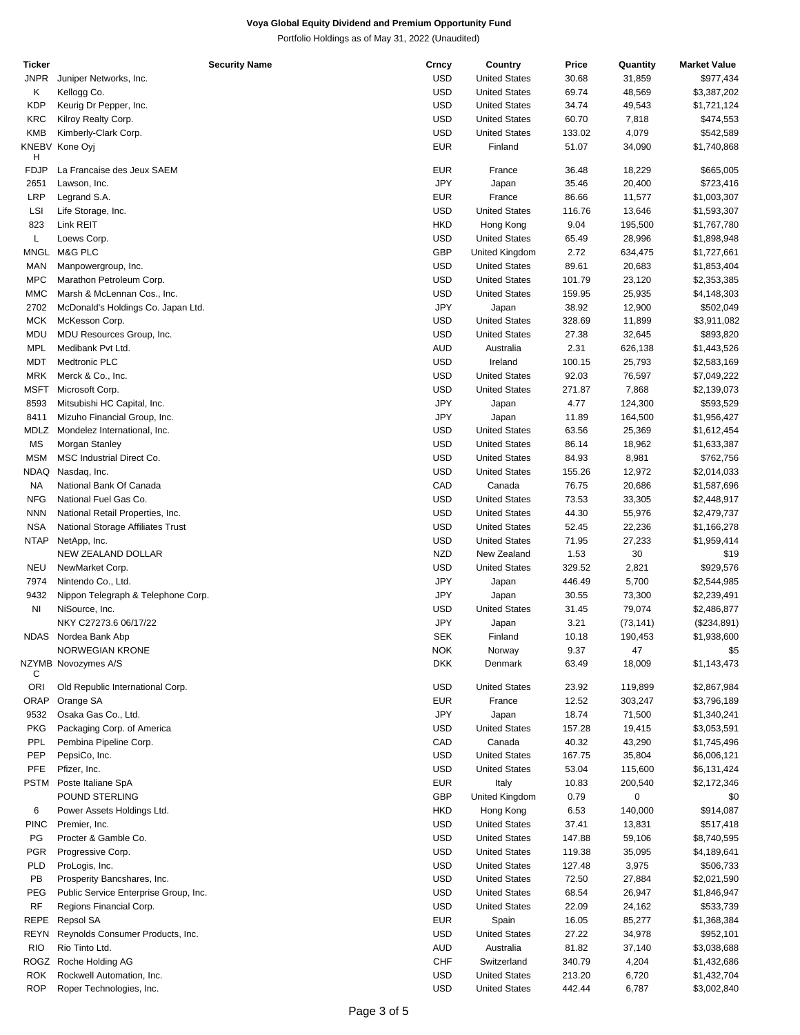| Ticker      | <b>Security Name</b>                  | Crncy      | Country              | Price  | Quantity  | <b>Market Value</b> |
|-------------|---------------------------------------|------------|----------------------|--------|-----------|---------------------|
| <b>JNPR</b> | Juniper Networks, Inc.                | <b>USD</b> | <b>United States</b> | 30.68  | 31,859    | \$977,434           |
| Κ           | Kellogg Co.                           | <b>USD</b> | <b>United States</b> | 69.74  | 48,569    | \$3,387,202         |
| <b>KDP</b>  | Keurig Dr Pepper, Inc.                | <b>USD</b> | <b>United States</b> | 34.74  | 49,543    | \$1,721,124         |
|             |                                       |            |                      |        |           |                     |
| <b>KRC</b>  | Kilroy Realty Corp.                   | <b>USD</b> | <b>United States</b> | 60.70  | 7,818     | \$474,553           |
| <b>KMB</b>  | Kimberly-Clark Corp.                  | <b>USD</b> | <b>United States</b> | 133.02 | 4,079     | \$542,589           |
|             | KNEBV Kone Oyj                        | <b>EUR</b> | Finland              | 51.07  | 34,090    | \$1,740,868         |
| н           |                                       |            |                      |        |           |                     |
| <b>FDJP</b> | La Francaise des Jeux SAEM            | <b>EUR</b> | France               | 36.48  | 18,229    | \$665,005           |
| 2651        | Lawson, Inc.                          | <b>JPY</b> | Japan                | 35.46  | 20,400    | \$723,416           |
| LRP         | Legrand S.A.                          | <b>EUR</b> | France               | 86.66  | 11,577    | \$1,003,307         |
| LSI         | Life Storage, Inc.                    | <b>USD</b> | <b>United States</b> | 116.76 | 13,646    | \$1,593,307         |
| 823         | Link REIT                             | <b>HKD</b> | Hong Kong            | 9.04   | 195,500   | \$1,767,780         |
|             |                                       |            |                      |        |           |                     |
| L           | Loews Corp.                           | <b>USD</b> | <b>United States</b> | 65.49  | 28,996    | \$1,898,948         |
| <b>MNGL</b> | M&G PLC                               | <b>GBP</b> | United Kingdom       | 2.72   | 634,475   | \$1,727,661         |
| MAN         | Manpowergroup, Inc.                   | <b>USD</b> | <b>United States</b> | 89.61  | 20,683    | \$1,853,404         |
| <b>MPC</b>  | Marathon Petroleum Corp.              | <b>USD</b> | <b>United States</b> | 101.79 | 23,120    | \$2,353,385         |
| <b>MMC</b>  | Marsh & McLennan Cos., Inc.           | <b>USD</b> | <b>United States</b> | 159.95 | 25,935    | \$4,148,303         |
| 2702        | McDonald's Holdings Co. Japan Ltd.    | <b>JPY</b> | Japan                | 38.92  | 12,900    | \$502,049           |
| <b>MCK</b>  | McKesson Corp.                        | <b>USD</b> | <b>United States</b> | 328.69 |           | \$3,911,082         |
|             |                                       |            |                      |        | 11,899    |                     |
| MDU         | MDU Resources Group, Inc.             | <b>USD</b> | <b>United States</b> | 27.38  | 32,645    | \$893,820           |
| <b>MPL</b>  | Medibank Pvt Ltd.                     | <b>AUD</b> | Australia            | 2.31   | 626,138   | \$1,443,526         |
| <b>MDT</b>  | Medtronic PLC                         | <b>USD</b> | Ireland              | 100.15 | 25,793    | \$2,583,169         |
| <b>MRK</b>  | Merck & Co., Inc.                     | <b>USD</b> | <b>United States</b> | 92.03  | 76,597    | \$7,049,222         |
| <b>MSFT</b> | Microsoft Corp.                       | <b>USD</b> | <b>United States</b> | 271.87 | 7,868     | \$2,139,073         |
| 8593        | Mitsubishi HC Capital, Inc.           | JPY        | Japan                | 4.77   | 124,300   | \$593,529           |
|             |                                       |            |                      |        |           |                     |
| 8411        | Mizuho Financial Group, Inc.          | JPY        | Japan                | 11.89  | 164,500   | \$1,956,427         |
| MDLZ        | Mondelez International, Inc.          | <b>USD</b> | <b>United States</b> | 63.56  | 25,369    | \$1,612,454         |
| MS          | Morgan Stanley                        | <b>USD</b> | <b>United States</b> | 86.14  | 18,962    | \$1,633,387         |
| <b>MSM</b>  | MSC Industrial Direct Co.             | <b>USD</b> | <b>United States</b> | 84.93  | 8,981     | \$762,756           |
| <b>NDAQ</b> | Nasdaq, Inc.                          | <b>USD</b> | <b>United States</b> | 155.26 | 12,972    | \$2,014,033         |
| <b>NA</b>   | National Bank Of Canada               | CAD        | Canada               | 76.75  | 20,686    | \$1,587,696         |
| <b>NFG</b>  | National Fuel Gas Co.                 | <b>USD</b> | <b>United States</b> | 73.53  | 33,305    | \$2,448,917         |
|             |                                       |            |                      |        |           |                     |
| <b>NNN</b>  | National Retail Properties, Inc.      | <b>USD</b> | <b>United States</b> | 44.30  | 55,976    | \$2,479,737         |
| <b>NSA</b>  | National Storage Affiliates Trust     | <b>USD</b> | <b>United States</b> | 52.45  | 22,236    | \$1,166,278         |
| <b>NTAP</b> | NetApp, Inc.                          | <b>USD</b> | <b>United States</b> | 71.95  | 27,233    | \$1,959,414         |
|             | NEW ZEALAND DOLLAR                    | <b>NZD</b> | New Zealand          | 1.53   | 30        | \$19                |
| <b>NEU</b>  | NewMarket Corp.                       | <b>USD</b> | <b>United States</b> | 329.52 | 2,821     | \$929,576           |
| 7974        | Nintendo Co., Ltd.                    | JPY        | Japan                | 446.49 | 5,700     | \$2,544,985         |
|             |                                       |            |                      |        |           |                     |
| 9432        | Nippon Telegraph & Telephone Corp.    | JPY        | Japan                | 30.55  | 73,300    | \$2,239,491         |
| ΝI          | NiSource, Inc.                        | <b>USD</b> | <b>United States</b> | 31.45  | 79,074    | \$2,486,877         |
|             | NKY C27273.6 06/17/22                 | JPY        | Japan                | 3.21   | (73, 141) | (\$234,891)         |
|             | NDAS Nordea Bank Abp                  | <b>SEK</b> | Finland              | 10.18  | 190,453   | \$1,938,600         |
|             | NORWEGIAN KRONE                       | <b>NOK</b> | Norway               | 9.37   | 47        | \$5                 |
|             | NZYMB Novozymes A/S                   | <b>DKK</b> | Denmark              | 63.49  | 18,009    | \$1,143,473         |
| С           |                                       |            |                      |        |           |                     |
| ORI         | Old Republic International Corp.      | <b>USD</b> | <b>United States</b> | 23.92  | 119,899   | \$2,867,984         |
| ORAP        | Orange SA                             | <b>EUR</b> | France               | 12.52  | 303,247   | \$3,796,189         |
|             |                                       |            |                      |        |           |                     |
| 9532        | Osaka Gas Co., Ltd.                   | JPY        | Japan                | 18.74  | 71,500    | \$1,340,241         |
| <b>PKG</b>  | Packaging Corp. of America            | USD        | <b>United States</b> | 157.28 | 19,415    | \$3,053,591         |
| <b>PPL</b>  | Pembina Pipeline Corp.                | CAD        | Canada               | 40.32  | 43,290    | \$1,745,496         |
| PEP         | PepsiCo, Inc.                         | <b>USD</b> | <b>United States</b> | 167.75 | 35,804    | \$6,006,121         |
| PFE         | Pfizer, Inc.                          | <b>USD</b> | <b>United States</b> | 53.04  | 115,600   | \$6,131,424         |
| <b>PSTM</b> | Poste Italiane SpA                    | <b>EUR</b> | Italy                | 10.83  | 200,540   | \$2,172,346         |
|             |                                       |            |                      |        |           |                     |
|             | POUND STERLING                        | <b>GBP</b> | United Kingdom       | 0.79   | 0         | \$0                 |
| 6           | Power Assets Holdings Ltd.            | <b>HKD</b> | Hong Kong            | 6.53   | 140,000   | \$914,087           |
| <b>PINC</b> | Premier, Inc.                         | USD        | <b>United States</b> | 37.41  | 13,831    | \$517,418           |
| PG          | Procter & Gamble Co.                  | <b>USD</b> | <b>United States</b> | 147.88 | 59,106    | \$8,740,595         |
| PGR         | Progressive Corp.                     | <b>USD</b> | <b>United States</b> | 119.38 | 35,095    | \$4,189,641         |
| PLD         | ProLogis, Inc.                        | <b>USD</b> | <b>United States</b> | 127.48 | 3,975     | \$506,733           |
| PB          |                                       | <b>USD</b> | <b>United States</b> | 72.50  |           |                     |
|             | Prosperity Bancshares, Inc.           |            |                      |        | 27,884    | \$2,021,590         |
| PEG         | Public Service Enterprise Group, Inc. | <b>USD</b> | <b>United States</b> | 68.54  | 26,947    | \$1,846,947         |
| RF          | Regions Financial Corp.               | <b>USD</b> | <b>United States</b> | 22.09  | 24,162    | \$533,739           |
| <b>REPE</b> | Repsol SA                             | <b>EUR</b> | Spain                | 16.05  | 85,277    | \$1,368,384         |
| <b>REYN</b> | Reynolds Consumer Products, Inc.      | USD        | <b>United States</b> | 27.22  | 34,978    | \$952,101           |
| <b>RIO</b>  | Rio Tinto Ltd.                        | AUD        | Australia            | 81.82  | 37,140    | \$3,038,688         |
| ROGZ        | Roche Holding AG                      | <b>CHF</b> | Switzerland          | 340.79 | 4,204     | \$1,432,686         |
|             |                                       |            |                      |        |           |                     |
| <b>ROK</b>  | Rockwell Automation, Inc.             | <b>USD</b> | <b>United States</b> | 213.20 | 6,720     | \$1,432,704         |
| <b>ROP</b>  | Roper Technologies, Inc.              | <b>USD</b> | <b>United States</b> | 442.44 | 6,787     | \$3,002,840         |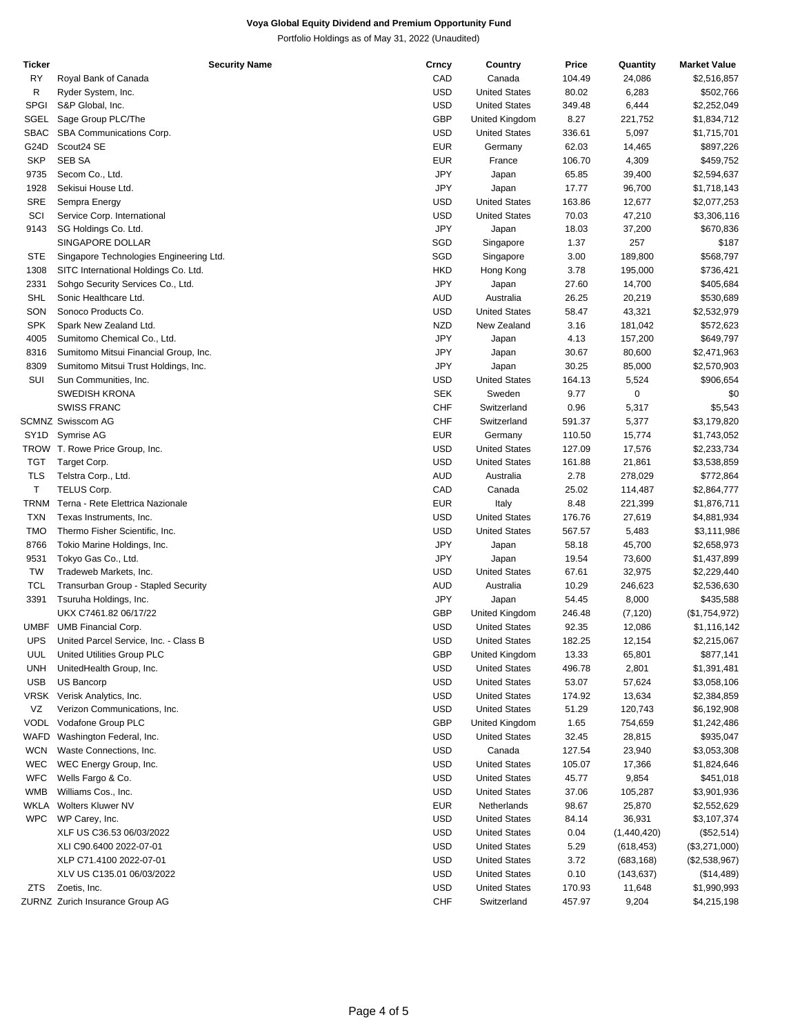| Ticker      | <b>Security Name</b>                    | Crncy      | Country              | Price  | Quantity    | <b>Market Value</b> |
|-------------|-----------------------------------------|------------|----------------------|--------|-------------|---------------------|
| RY          | Royal Bank of Canada                    | CAD        | Canada               | 104.49 | 24,086      | \$2,516,857         |
| R           | Ryder System, Inc.                      | <b>USD</b> | <b>United States</b> | 80.02  | 6,283       | \$502,766           |
| <b>SPGI</b> | S&P Global, Inc.                        | <b>USD</b> | <b>United States</b> | 349.48 | 6,444       | \$2,252,049         |
| SGEL        | Sage Group PLC/The                      | GBP        | United Kingdom       | 8.27   | 221,752     | \$1,834,712         |
| SBAC        | SBA Communications Corp.                | <b>USD</b> | <b>United States</b> | 336.61 | 5,097       | \$1,715,701         |
| G24D        | Scout24 SE                              | <b>EUR</b> | Germany              | 62.03  | 14,465      | \$897,226           |
| <b>SKP</b>  | <b>SEB SA</b>                           | <b>EUR</b> | France               | 106.70 | 4,309       | \$459,752           |
| 9735        | Secom Co., Ltd.                         | JPY        | Japan                | 65.85  | 39,400      | \$2,594,637         |
| 1928        | Sekisui House Ltd.                      | JPY        | Japan                | 17.77  | 96,700      | \$1,718,143         |
| SRE         |                                         | <b>USD</b> | <b>United States</b> | 163.86 | 12,677      | \$2,077,253         |
|             | Sempra Energy                           |            |                      |        |             |                     |
| SCI         | Service Corp. International             | <b>USD</b> | <b>United States</b> | 70.03  | 47,210      | \$3,306,116         |
| 9143        | SG Holdings Co. Ltd.                    | JPY        | Japan                | 18.03  | 37,200      | \$670,836           |
|             | SINGAPORE DOLLAR                        | SGD        | Singapore            | 1.37   | 257         | \$187               |
| <b>STE</b>  | Singapore Technologies Engineering Ltd. | SGD        | Singapore            | 3.00   | 189,800     | \$568,797           |
| 1308        | SITC International Holdings Co. Ltd.    | <b>HKD</b> | Hong Kong            | 3.78   | 195,000     | \$736,421           |
| 2331        | Sohgo Security Services Co., Ltd.       | <b>JPY</b> | Japan                | 27.60  | 14,700      | \$405,684           |
| SHL         | Sonic Healthcare Ltd.                   | AUD        | Australia            | 26.25  | 20,219      | \$530,689           |
| SON         | Sonoco Products Co.                     | <b>USD</b> | <b>United States</b> | 58.47  | 43,321      | \$2,532,979         |
| <b>SPK</b>  | Spark New Zealand Ltd.                  | <b>NZD</b> | New Zealand          | 3.16   | 181,042     | \$572,623           |
| 4005        | Sumitomo Chemical Co., Ltd.             | JPY        | Japan                | 4.13   | 157,200     | \$649,797           |
| 8316        | Sumitomo Mitsui Financial Group, Inc.   | JPY        | Japan                | 30.67  | 80,600      | \$2,471,963         |
| 8309        | Sumitomo Mitsui Trust Holdings, Inc.    | JPY        | Japan                | 30.25  | 85,000      | \$2,570,903         |
| SUI         | Sun Communities, Inc.                   | <b>USD</b> | <b>United States</b> | 164.13 | 5,524       | \$906,654           |
|             | <b>SWEDISH KRONA</b>                    | <b>SEK</b> | Sweden               | 9.77   | 0           | \$0                 |
|             | <b>SWISS FRANC</b>                      | <b>CHF</b> | Switzerland          | 0.96   | 5,317       | \$5,543             |
|             | <b>SCMNZ Swisscom AG</b>                | <b>CHF</b> | Switzerland          | 591.37 | 5,377       | \$3,179,820         |
| SY1D        | Symrise AG                              | <b>EUR</b> | Germany              | 110.50 | 15,774      | \$1,743,052         |
|             |                                         |            |                      |        |             |                     |
|             | TROW T. Rowe Price Group, Inc.          | <b>USD</b> | <b>United States</b> | 127.09 | 17,576      | \$2,233,734         |
| TGT         | Target Corp.                            | <b>USD</b> | <b>United States</b> | 161.88 | 21,861      | \$3,538,859         |
| <b>TLS</b>  | Telstra Corp., Ltd.                     | <b>AUD</b> | Australia            | 2.78   | 278,029     | \$772,864           |
| T           | TELUS Corp.                             | CAD        | Canada               | 25.02  | 114,487     | \$2,864,777         |
| TRNM        | Terna - Rete Elettrica Nazionale        | <b>EUR</b> | Italy                | 8.48   | 221,399     | \$1,876,711         |
| <b>TXN</b>  | Texas Instruments, Inc.                 | <b>USD</b> | <b>United States</b> | 176.76 | 27,619      | \$4,881,934         |
| <b>TMO</b>  | Thermo Fisher Scientific, Inc.          | <b>USD</b> | <b>United States</b> | 567.57 | 5,483       | \$3,111,986         |
| 8766        | Tokio Marine Holdings, Inc.             | JPY        | Japan                | 58.18  | 45,700      | \$2,658,973         |
| 9531        | Tokyo Gas Co., Ltd.                     | <b>JPY</b> | Japan                | 19.54  | 73,600      | \$1,437,899         |
| TW          | Tradeweb Markets, Inc.                  | <b>USD</b> | <b>United States</b> | 67.61  | 32,975      | \$2,229,440         |
| TCL         | Transurban Group - Stapled Security     | <b>AUD</b> | Australia            | 10.29  | 246,623     | \$2,536,630         |
| 3391        | Tsuruha Holdings, Inc.                  | JPY        | Japan                | 54.45  | 8,000       | \$435,588           |
|             | UKX C7461.82 06/17/22                   | <b>GBP</b> | United Kingdom       | 246.48 | (7, 120)    | (\$1,754,972)       |
| UMBF        | <b>UMB Financial Corp.</b>              | <b>USD</b> | <b>United States</b> | 92.35  | 12,086      | \$1,116,142         |
| <b>UPS</b>  | United Parcel Service, Inc. - Class B   | <b>USD</b> | <b>United States</b> | 182.25 | 12,154      | \$2,215,067         |
| UUL         | United Utilities Group PLC              | <b>GBP</b> | United Kingdom       | 13.33  | 65,801      | \$877,141           |
| <b>UNH</b>  | UnitedHealth Group, Inc.                | <b>USD</b> | <b>United States</b> | 496.78 | 2,801       | \$1,391,481         |
| <b>USB</b>  | US Bancorp                              | USD        | <b>United States</b> | 53.07  | 57,624      | \$3,058,106         |
| VRSK        | Verisk Analytics, Inc.                  | <b>USD</b> | <b>United States</b> | 174.92 | 13,634      | \$2,384,859         |
| VZ          | Verizon Communications, Inc.            | <b>USD</b> | <b>United States</b> | 51.29  | 120,743     | \$6,192,908         |
| VODL        | Vodafone Group PLC                      | <b>GBP</b> | United Kingdom       | 1.65   | 754,659     | \$1,242,486         |
|             |                                         |            |                      |        |             |                     |
| WAFD        | Washington Federal, Inc.                | USD        | <b>United States</b> | 32.45  | 28,815      | \$935,047           |
| <b>WCN</b>  | Waste Connections, Inc.                 | <b>USD</b> | Canada               | 127.54 | 23,940      | \$3,053,308         |
| <b>WEC</b>  | WEC Energy Group, Inc.                  | <b>USD</b> | <b>United States</b> | 105.07 | 17,366      | \$1,824,646         |
| <b>WFC</b>  | Wells Fargo & Co.                       | <b>USD</b> | <b>United States</b> | 45.77  | 9,854       | \$451,018           |
| WMB         | Williams Cos., Inc.                     | USD        | <b>United States</b> | 37.06  | 105,287     | \$3,901,936         |
| WKLA        | Wolters Kluwer NV                       | EUR        | Netherlands          | 98.67  | 25,870      | \$2,552,629         |
| <b>WPC</b>  | WP Carey, Inc.                          | <b>USD</b> | <b>United States</b> | 84.14  | 36,931      | \$3,107,374         |
|             | XLF US C36.53 06/03/2022                | <b>USD</b> | <b>United States</b> | 0.04   | (1,440,420) | (\$52,514)          |
|             | XLI C90.6400 2022-07-01                 | USD        | <b>United States</b> | 5.29   | (618, 453)  | (\$3,271,000)       |
|             | XLP C71.4100 2022-07-01                 | <b>USD</b> | <b>United States</b> | 3.72   | (683, 168)  | (\$2,538,967)       |
|             | XLV US C135.01 06/03/2022               | <b>USD</b> | <b>United States</b> | 0.10   | (143, 637)  | (\$14,489)          |
| ZTS         | Zoetis, Inc.                            | <b>USD</b> | <b>United States</b> | 170.93 | 11,648      | \$1,990,993         |
|             | ZURNZ Zurich Insurance Group AG         | CHF        | Switzerland          | 457.97 | 9,204       | \$4,215,198         |
|             |                                         |            |                      |        |             |                     |